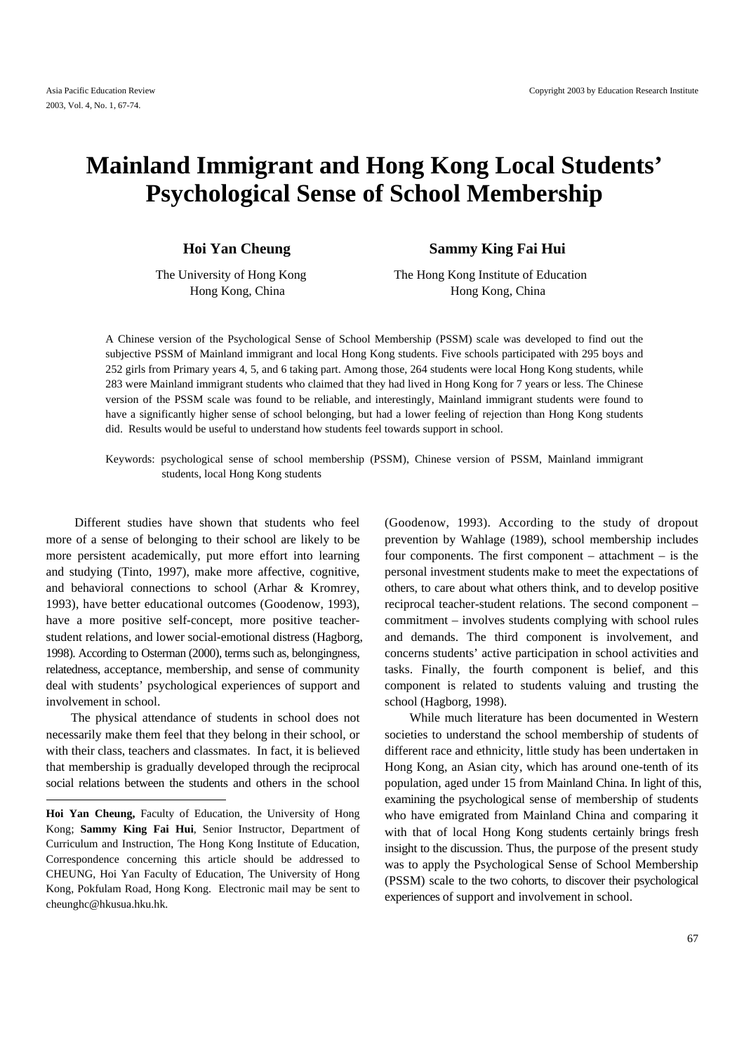# **Mainland Immigrant and Hong Kong Local Students' Psychological Sense of School Membership**

**Hoi Yan Cheung Sammy King Fai Hui** 

The University of Hong Kong The Hong Kong Institute of Education Hong Kong, China Hong Kong, China

A Chinese version of the Psychological Sense of School Membership (PSSM) scale was developed to find out the subjective PSSM of Mainland immigrant and local Hong Kong students. Five schools participated with 295 boys and 252 girls from Primary years 4, 5, and 6 taking part. Among those, 264 students were local Hong Kong students, while 283 were Mainland immigrant students who claimed that they had lived in Hong Kong for 7 years or less. The Chinese version of the PSSM scale was found to be reliable, and interestingly, Mainland immigrant students were found to have a significantly higher sense of school belonging, but had a lower feeling of rejection than Hong Kong students did. Results would be useful to understand how students feel towards support in school.

Keywords: psychological sense of school membership (PSSM), Chinese version of PSSM, Mainland immigrant students, local Hong Kong students

Different studies have shown that students who feel more of a sense of belonging to their school are likely to be more persistent academically, put more effort into learning and studying (Tinto, 1997), make more affective, cognitive, and behavioral connections to school (Arhar & Kromrey, 1993), have better educational outcomes (Goodenow, 1993), have a more positive self-concept, more positive teacherstudent relations, and lower social-emotional distress (Hagborg, 1998). According to Osterman (2000), terms such as, belongingness, relatedness, acceptance, membership, and sense of community deal with students' psychological experiences of support and involvement in school.

The physical attendance of students in school does not necessarily make them feel that they belong in their school, or with their class, teachers and classmates. In fact, it is believed that membership is gradually developed through the reciprocal social relations between the students and others in the school

 $\overline{\phantom{a}}$ 

(Goodenow, 1993). According to the study of dropout prevention by Wahlage (1989), school membership includes four components. The first component – attachment – is the personal investment students make to meet the expectations of others, to care about what others think, and to develop positive reciprocal teacher-student relations. The second component – commitment – involves students complying with school rules and demands. The third component is involvement, and concerns students' active participation in school activities and tasks. Finally, the fourth component is belief, and this component is related to students valuing and trusting the school (Hagborg, 1998).

While much literature has been documented in Western societies to understand the school membership of students of different race and ethnicity, little study has been undertaken in Hong Kong, an Asian city, which has around one-tenth of its population, aged under 15 from Mainland China. In light of this, examining the psychological sense of membership of students who have emigrated from Mainland China and comparing it with that of local Hong Kong students certainly brings fresh insight to the discussion. Thus, the purpose of the present study was to apply the Psychological Sense of School Membership (PSSM) scale to the two cohorts, to discover their psychological experiences of support and involvement in school.

**Hoi Yan Cheung,** Faculty of Education, the University of Hong Kong; **Sammy King Fai Hui**, Senior Instructor, Department of Curriculum and Instruction, The Hong Kong Institute of Education, Correspondence concerning this article should be addressed to CHEUNG, Hoi Yan Faculty of Education, The University of Hong Kong, Pokfulam Road, Hong Kong. Electronic mail may be sent to cheunghc@hkusua.hku.hk.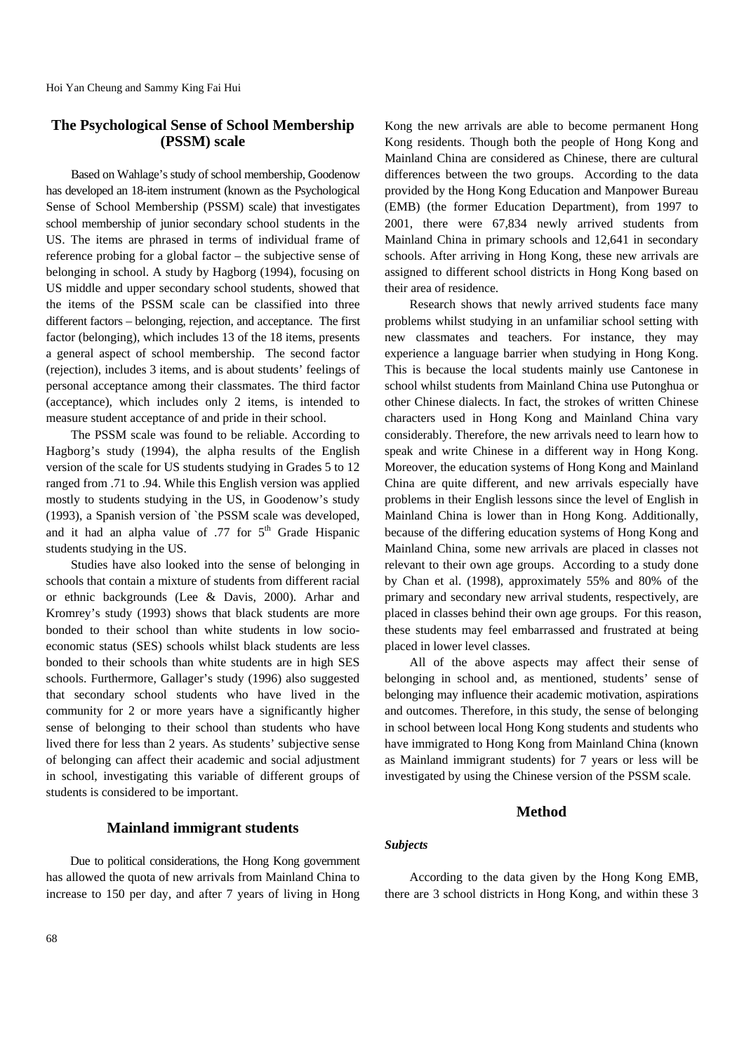# **The Psychological Sense of School Membership (PSSM) scale**

Based on Wahlage's study of school membership, Goodenow has developed an 18-item instrument (known as the Psychological Sense of School Membership (PSSM) scale) that investigates school membership of junior secondary school students in the US. The items are phrased in terms of individual frame of reference probing for a global factor – the subjective sense of belonging in school. A study by Hagborg (1994), focusing on US middle and upper secondary school students, showed that the items of the PSSM scale can be classified into three different factors – belonging, rejection, and acceptance. The first factor (belonging), which includes 13 of the 18 items, presents a general aspect of school membership. The second factor (rejection), includes 3 items, and is about students' feelings of personal acceptance among their classmates. The third factor (acceptance), which includes only 2 items, is intended to measure student acceptance of and pride in their school.

The PSSM scale was found to be reliable. According to Hagborg's study (1994), the alpha results of the English version of the scale for US students studying in Grades 5 to 12 ranged from .71 to .94. While this English version was applied mostly to students studying in the US, in Goodenow's study (1993), a Spanish version of `the PSSM scale was developed, and it had an alpha value of  $.77$  for  $5<sup>th</sup>$  Grade Hispanic students studying in the US.

Studies have also looked into the sense of belonging in schools that contain a mixture of students from different racial or ethnic backgrounds (Lee & Davis, 2000). Arhar and Kromrey's study (1993) shows that black students are more bonded to their school than white students in low socioeconomic status (SES) schools whilst black students are less bonded to their schools than white students are in high SES schools. Furthermore, Gallager's study (1996) also suggested that secondary school students who have lived in the community for 2 or more years have a significantly higher sense of belonging to their school than students who have lived there for less than 2 years. As students' subjective sense of belonging can affect their academic and social adjustment in school, investigating this variable of different groups of students is considered to be important.

# **Mainland immigrant students**

Due to political considerations, the Hong Kong government has allowed the quota of new arrivals from Mainland China to increase to 150 per day, and after 7 years of living in Hong

Kong the new arrivals are able to become permanent Hong Kong residents. Though both the people of Hong Kong and Mainland China are considered as Chinese, there are cultural differences between the two groups. According to the data provided by the Hong Kong Education and Manpower Bureau (EMB) (the former Education Department), from 1997 to 2001, there were 67,834 newly arrived students from Mainland China in primary schools and 12,641 in secondary schools. After arriving in Hong Kong, these new arrivals are assigned to different school districts in Hong Kong based on their area of residence.

Research shows that newly arrived students face many problems whilst studying in an unfamiliar school setting with new classmates and teachers. For instance, they may experience a language barrier when studying in Hong Kong. This is because the local students mainly use Cantonese in school whilst students from Mainland China use Putonghua or other Chinese dialects. In fact, the strokes of written Chinese characters used in Hong Kong and Mainland China vary considerably. Therefore, the new arrivals need to learn how to speak and write Chinese in a different way in Hong Kong. Moreover, the education systems of Hong Kong and Mainland China are quite different, and new arrivals especially have problems in their English lessons since the level of English in Mainland China is lower than in Hong Kong. Additionally, because of the differing education systems of Hong Kong and Mainland China, some new arrivals are placed in classes not relevant to their own age groups. According to a study done by Chan et al. (1998), approximately 55% and 80% of the primary and secondary new arrival students, respectively, are placed in classes behind their own age groups. For this reason, these students may feel embarrassed and frustrated at being placed in lower level classes.

All of the above aspects may affect their sense of belonging in school and, as mentioned, students' sense of belonging may influence their academic motivation, aspirations and outcomes. Therefore, in this study, the sense of belonging in school between local Hong Kong students and students who have immigrated to Hong Kong from Mainland China (known as Mainland immigrant students) for 7 years or less will be investigated by using the Chinese version of the PSSM scale.

### **Method**

#### *Subjects*

According to the data given by the Hong Kong EMB, there are 3 school districts in Hong Kong, and within these 3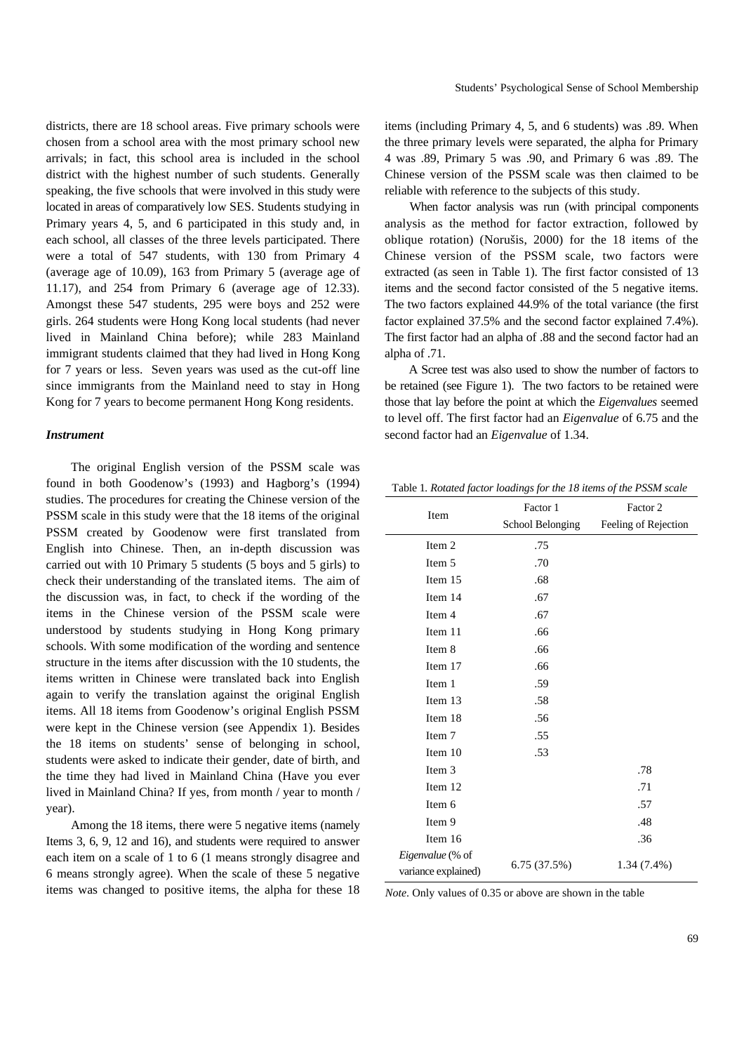districts, there are 18 school areas. Five primary schools were chosen from a school area with the most primary school new arrivals; in fact, this school area is included in the school district with the highest number of such students. Generally speaking, the five schools that were involved in this study were located in areas of comparatively low SES. Students studying in Primary years 4, 5, and 6 participated in this study and, in each school, all classes of the three levels participated. There were a total of 547 students, with 130 from Primary 4 (average age of 10.09), 163 from Primary 5 (average age of 11.17), and 254 from Primary 6 (average age of 12.33). Amongst these 547 students, 295 were boys and 252 were girls. 264 students were Hong Kong local students (had never lived in Mainland China before); while 283 Mainland immigrant students claimed that they had lived in Hong Kong for 7 years or less. Seven years was used as the cut-off line since immigrants from the Mainland need to stay in Hong Kong for 7 years to become permanent Hong Kong residents.

#### *Instrument*

The original English version of the PSSM scale was found in both Goodenow's (1993) and Hagborg's (1994) studies. The procedures for creating the Chinese version of the PSSM scale in this study were that the 18 items of the original PSSM created by Goodenow were first translated from English into Chinese. Then, an in-depth discussion was carried out with 10 Primary 5 students (5 boys and 5 girls) to check their understanding of the translated items. The aim of the discussion was, in fact, to check if the wording of the items in the Chinese version of the PSSM scale were understood by students studying in Hong Kong primary schools. With some modification of the wording and sentence structure in the items after discussion with the 10 students, the items written in Chinese were translated back into English again to verify the translation against the original English items. All 18 items from Goodenow's original English PSSM were kept in the Chinese version (see Appendix 1). Besides the 18 items on students' sense of belonging in school, students were asked to indicate their gender, date of birth, and the time they had lived in Mainland China (Have you ever lived in Mainland China? If yes, from month / year to month / year).

Among the 18 items, there were 5 negative items (namely Items 3, 6, 9, 12 and 16), and students were required to answer each item on a scale of 1 to 6 (1 means strongly disagree and 6 means strongly agree). When the scale of these 5 negative items was changed to positive items, the alpha for these 18 items (including Primary 4, 5, and 6 students) was .89. When the three primary levels were separated, the alpha for Primary 4 was .89, Primary 5 was .90, and Primary 6 was .89. The Chinese version of the PSSM scale was then claimed to be reliable with reference to the subjects of this study.

When factor analysis was run (with principal components) analysis as the method for factor extraction, followed by oblique rotation) (Norušis, 2000) for the 18 items of the Chinese version of the PSSM scale, two factors were extracted (as seen in Table 1). The first factor consisted of 13 items and the second factor consisted of the 5 negative items. The two factors explained 44.9% of the total variance (the first factor explained 37.5% and the second factor explained 7.4%). The first factor had an alpha of .88 and the second factor had an alpha of .71.

A Scree test was also used to show the number of factors to be retained (see Figure 1). The two factors to be retained were those that lay before the point at which the *Eigenvalues* seemed to level off. The first factor had an *Eigenvalue* of 6.75 and the second factor had an *Eigenvalue* of 1.34.

Table 1*. Rotated factor loadings for the 18 items of the PSSM scale*

| Item                | Factor 1         | Factor 2             |  |  |
|---------------------|------------------|----------------------|--|--|
|                     | School Belonging | Feeling of Rejection |  |  |
| Item 2              | .75              |                      |  |  |
| Item 5              | .70              |                      |  |  |
| Item 15             | .68              |                      |  |  |
| Item 14             | .67              |                      |  |  |
| Item 4              | .67              |                      |  |  |
| Item 11             | .66              |                      |  |  |
| Item 8              | .66              |                      |  |  |
| Item 17             | .66              |                      |  |  |
| Item 1              | .59              |                      |  |  |
| Item 13             | .58              |                      |  |  |
| Item 18             | .56              |                      |  |  |
| Item 7              | .55              |                      |  |  |
| Item 10             | .53              |                      |  |  |
| Item 3              |                  | .78                  |  |  |
| Item 12             |                  | .71                  |  |  |
| Item 6              |                  | .57                  |  |  |
| Item 9              |                  | .48                  |  |  |
| Item 16             |                  | .36                  |  |  |
| Eigenvalue (% of    |                  |                      |  |  |
| variance explained) | 6.75 (37.5%)     | 1.34(7.4%)           |  |  |

*Note*. Only values of 0.35 or above are shown in the table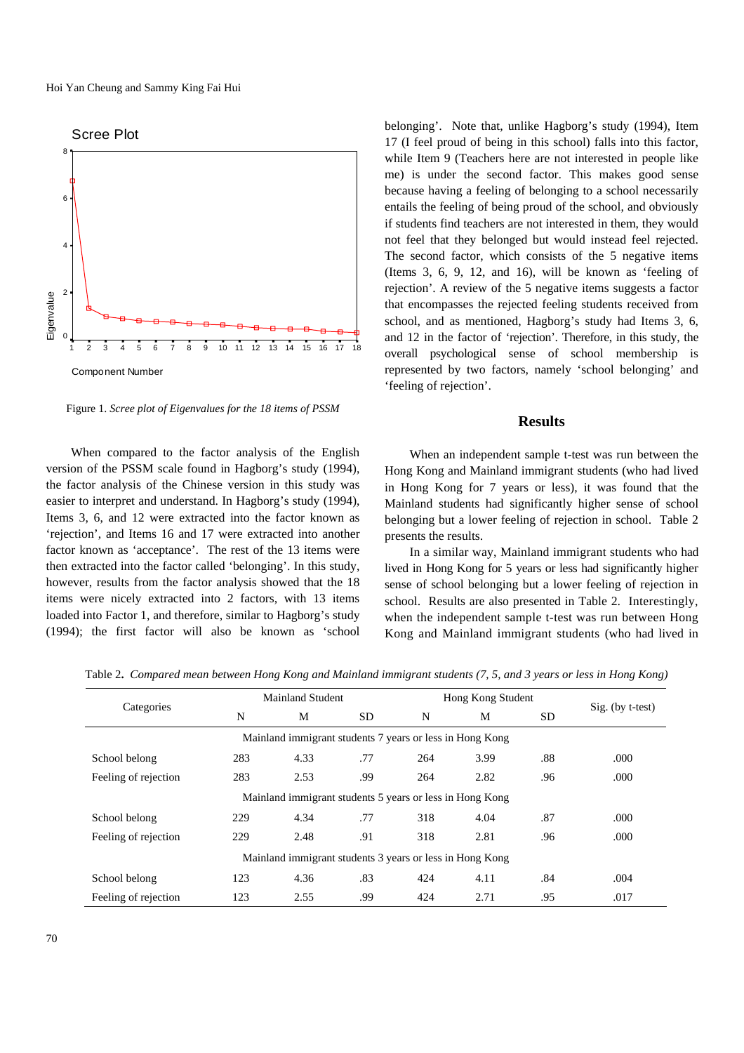

Figure 1. *Scree plot of Eigenvalues for the 18 items of PSSM*

When compared to the factor analysis of the English version of the PSSM scale found in Hagborg's study (1994), the factor analysis of the Chinese version in this study was easier to interpret and understand. In Hagborg's study (1994), Items 3, 6, and 12 were extracted into the factor known as 'rejection', and Items 16 and 17 were extracted into another factor known as 'acceptance'. The rest of the 13 items were then extracted into the factor called 'belonging'. In this study, however, results from the factor analysis showed that the 18 items were nicely extracted into 2 factors, with 13 items loaded into Factor 1, and therefore, similar to Hagborg's study (1994); the first factor will also be known as 'school

belonging'. Note that, unlike Hagborg's study (1994), Item 17 (I feel proud of being in this school) falls into this factor, while Item 9 (Teachers here are not interested in people like me) is under the second factor. This makes good sense because having a feeling of belonging to a school necessarily entails the feeling of being proud of the school, and obviously if students find teachers are not interested in them, they would not feel that they belonged but would instead feel rejected. The second factor, which consists of the 5 negative items (Items 3, 6, 9, 12, and 16), will be known as 'feeling of rejection'. A review of the 5 negative items suggests a factor that encompasses the rejected feeling students received from school, and as mentioned, Hagborg's study had Items 3, 6, and 12 in the factor of 'rejection'. Therefore, in this study, the overall psychological sense of school membership is represented by two factors, namely 'school belonging' and 'feeling of rejection'.

#### **Results**

When an independent sample t-test was run between the Hong Kong and Mainland immigrant students (who had lived in Hong Kong for 7 years or less), it was found that the Mainland students had significantly higher sense of school belonging but a lower feeling of rejection in school. Table 2 presents the results.

In a similar way, Mainland immigrant students who had lived in Hong Kong for 5 years or less had significantly higher sense of school belonging but a lower feeling of rejection in school. Results are also presented in Table 2. Interestingly, when the independent sample t-test was run between Hong Kong and Mainland immigrant students (who had lived in

| Categories                                               |     | Mainland Student |     | Hong Kong Student |      |     |                    |
|----------------------------------------------------------|-----|------------------|-----|-------------------|------|-----|--------------------|
|                                                          | N   | M                | SD. | N                 | M    | SD. | $Sig.$ (by t-test) |
| Mainland immigrant students 7 years or less in Hong Kong |     |                  |     |                   |      |     |                    |
| School belong                                            | 283 | 4.33             | .77 | 264               | 3.99 | .88 | .000               |
| Feeling of rejection                                     | 283 | 2.53             | .99 | 264               | 2.82 | .96 | .000               |
| Mainland immigrant students 5 years or less in Hong Kong |     |                  |     |                   |      |     |                    |
| School belong                                            | 229 | 4.34             | .77 | 318               | 4.04 | .87 | .000               |
| Feeling of rejection                                     | 229 | 2.48             | .91 | 318               | 2.81 | .96 | .000               |
| Mainland immigrant students 3 years or less in Hong Kong |     |                  |     |                   |      |     |                    |
| School belong                                            | 123 | 4.36             | .83 | 424               | 4.11 | .84 | .004               |
| Feeling of rejection                                     | 123 | 2.55             | .99 | 424               | 2.71 | .95 | .017               |

Table 2**.** *Compared mean between Hong Kong and Mainland immigrant students (7, 5, and 3 years or less in Hong Kong)*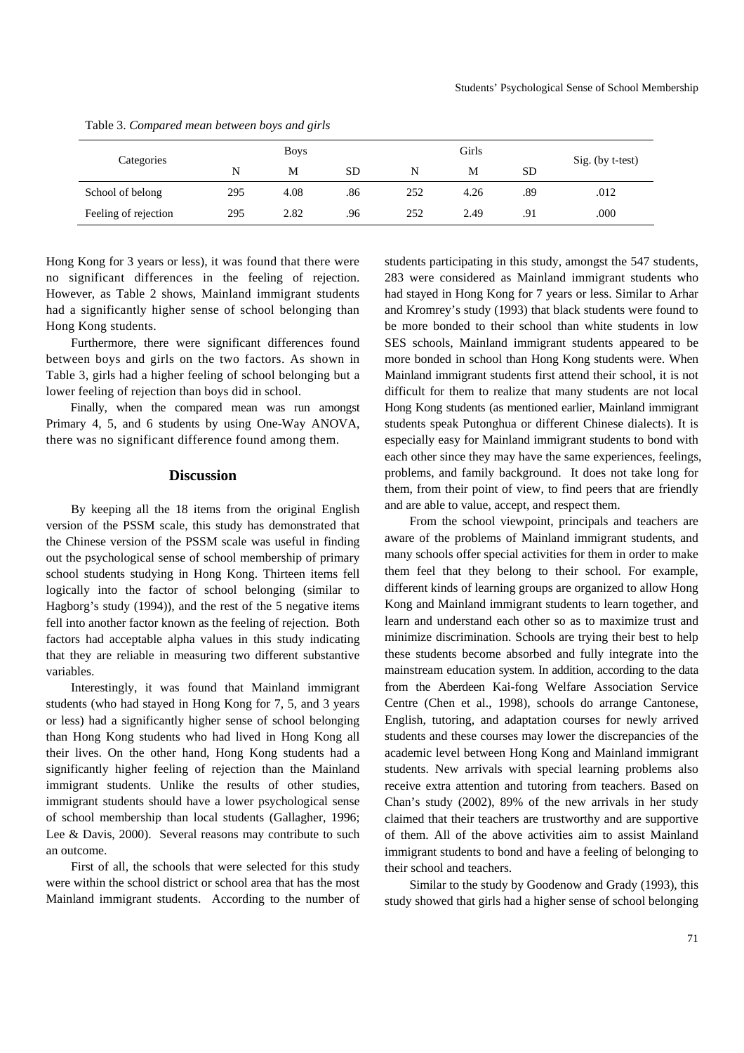| Categories           |     | <b>Boys</b> |           | Girls |      |           |                  |
|----------------------|-----|-------------|-----------|-------|------|-----------|------------------|
|                      | N   | М           | <b>SD</b> | N     | M    | <b>SD</b> | Sig. (by t-test) |
| School of belong     | 295 | 4.08        | .86       | 252   | 4.26 | .89       | .012             |
| Feeling of rejection | 295 | 2.82        | .96       | 252   | 2.49 | .91       | .000             |

Table 3. *Compared mean between boys and girls* 

Hong Kong for 3 years or less), it was found that there were no significant differences in the feeling of rejection. However, as Table 2 shows, Mainland immigrant students had a significantly higher sense of school belonging than Hong Kong students.

Furthermore, there were significant differences found between boys and girls on the two factors. As shown in Table 3, girls had a higher feeling of school belonging but a lower feeling of rejection than boys did in school.

Finally, when the compared mean was run amongst Primary 4, 5, and 6 students by using One-Way ANOVA, there was no significant difference found among them.

#### **Discussion**

By keeping all the 18 items from the original English version of the PSSM scale, this study has demonstrated that the Chinese version of the PSSM scale was useful in finding out the psychological sense of school membership of primary school students studying in Hong Kong. Thirteen items fell logically into the factor of school belonging (similar to Hagborg's study (1994)), and the rest of the 5 negative items fell into another factor known as the feeling of rejection. Both factors had acceptable alpha values in this study indicating that they are reliable in measuring two different substantive variables.

Interestingly, it was found that Mainland immigrant students (who had stayed in Hong Kong for 7, 5, and 3 years or less) had a significantly higher sense of school belonging than Hong Kong students who had lived in Hong Kong all their lives. On the other hand, Hong Kong students had a significantly higher feeling of rejection than the Mainland immigrant students. Unlike the results of other studies, immigrant students should have a lower psychological sense of school membership than local students (Gallagher, 1996; Lee & Davis, 2000). Several reasons may contribute to such an outcome.

First of all, the schools that were selected for this study were within the school district or school area that has the most Mainland immigrant students. According to the number of students participating in this study, amongst the 547 students, 283 were considered as Mainland immigrant students who had stayed in Hong Kong for 7 years or less. Similar to Arhar and Kromrey's study (1993) that black students were found to be more bonded to their school than white students in low SES schools, Mainland immigrant students appeared to be more bonded in school than Hong Kong students were. When Mainland immigrant students first attend their school, it is not difficult for them to realize that many students are not local Hong Kong students (as mentioned earlier, Mainland immigrant students speak Putonghua or different Chinese dialects). It is especially easy for Mainland immigrant students to bond with each other since they may have the same experiences, feelings, problems, and family background. It does not take long for them, from their point of view, to find peers that are friendly and are able to value, accept, and respect them.

From the school viewpoint, principals and teachers are aware of the problems of Mainland immigrant students, and many schools offer special activities for them in order to make them feel that they belong to their school. For example, different kinds of learning groups are organized to allow Hong Kong and Mainland immigrant students to learn together, and learn and understand each other so as to maximize trust and minimize discrimination. Schools are trying their best to help these students become absorbed and fully integrate into the mainstream education system. In addition, according to the data from the Aberdeen Kai-fong Welfare Association Service Centre (Chen et al., 1998), schools do arrange Cantonese, English, tutoring, and adaptation courses for newly arrived students and these courses may lower the discrepancies of the academic level between Hong Kong and Mainland immigrant students. New arrivals with special learning problems also receive extra attention and tutoring from teachers. Based on Chan's study (2002), 89% of the new arrivals in her study claimed that their teachers are trustworthy and are supportive of them. All of the above activities aim to assist Mainland immigrant students to bond and have a feeling of belonging to their school and teachers.

Similar to the study by Goodenow and Grady (1993), this study showed that girls had a higher sense of school belonging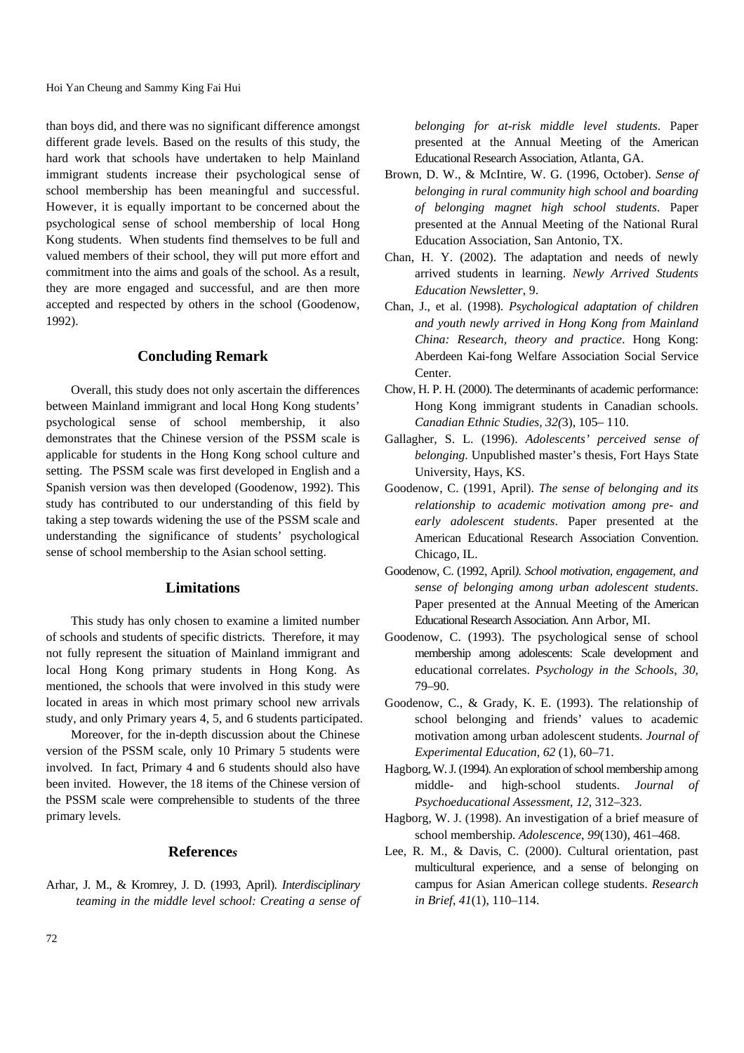Hoi Yan Cheung and Sammy King Fai Hui

than boys did, and there was no significant difference amongst different grade levels. Based on the results of this study, the hard work that schools have undertaken to help Mainland immigrant students increase their psychological sense of school membership has been meaningful and successful. However, it is equally important to be concerned about the psychological sense of school membership of local Hong Kong students. When students find themselves to be full and valued members of their school, they will put more effort and commitment into the aims and goals of the school. As a result, they are more engaged and successful, and are then more accepted and respected by others in the school (Goodenow, 1992).

# **Concluding Remark**

Overall, this study does not only ascertain the differences between Mainland immigrant and local Hong Kong students' psychological sense of school membership, it also demonstrates that the Chinese version of the PSSM scale is applicable for students in the Hong Kong school culture and setting. The PSSM scale was first developed in English and a Spanish version was then developed (Goodenow, 1992). This study has contributed to our understanding of this field by taking a step towards widening the use of the PSSM scale and understanding the significance of students' psychological sense of school membership to the Asian school setting.

## **Limitations**

This study has only chosen to examine a limited number of schools and students of specific districts. Therefore, it may not fully represent the situation of Mainland immigrant and local Hong Kong primary students in Hong Kong. As mentioned, the schools that were involved in this study were located in areas in which most primary school new arrivals study, and only Primary years 4, 5, and 6 students participated.

Moreover, for the in-depth discussion about the Chinese version of the PSSM scale, only 10 Primary 5 students were involved. In fact, Primary 4 and 6 students should also have been invited. However, the 18 items of the Chinese version of the PSSM scale were comprehensible to students of the three primary levels.

## **Reference***s*

Arhar, J. M., & Kromrey, J. D. (1993, April). *Interdisciplinary teaming in the middle level school: Creating a sense of*  *belonging for at-risk middle level students*. Paper presented at the Annual Meeting of the American Educational Research Association, Atlanta, GA.

- Brown, D. W., & McIntire, W. G. (1996, October). *Sense of belonging in rural community high school and boarding of belonging magnet high school students*. Paper presented at the Annual Meeting of the National Rural Education Association, San Antonio, TX.
- Chan, H. Y. (2002). The adaptation and needs of newly arrived students in learning. *Newly Arrived Students Education Newsletter*, 9.
- Chan, J., et al. (1998). *Psychological adaptation of children and youth newly arrived in Hong Kong from Mainland China: Research, theory and practice*. Hong Kong: Aberdeen Kai-fong Welfare Association Social Service Center.
- Chow, H. P. H. (2000). The determinants of academic performance: Hong Kong immigrant students in Canadian schools. *Canadian Ethnic Studies, 32(*3), 105– 110.
- Gallagher, S. L. (1996). *Adolescents' perceived sense of belonging*. Unpublished master's thesis, Fort Hays State University, Hays, KS.
- Goodenow, C. (1991, April). *The sense of belonging and its relationship to academic motivation among pre- and early adolescent students*. Paper presented at the American Educational Research Association Convention. Chicago, IL.
- Goodenow, C. (1992, April*). School motivation, engagement, and sense of belonging among urban adolescent students*. Paper presented at the Annual Meeting of the American Educational Research Association. Ann Arbor, MI.
- Goodenow, C. (1993). The psychological sense of school membership among adolescents: Scale development and educational correlates. *Psychology in the Schools*, *30,* 79–90.
- Goodenow, C., & Grady, K. E. (1993). The relationship of school belonging and friends' values to academic motivation among urban adolescent students. *Journal of Experimental Education*, *62* (1), 60–71.
- Hagborg, W. J. (1994). An exploration of school membership among middle- and high-school students. *Journal of Psychoeducational Assessment*, *12*, 312–323.
- Hagborg, W. J. (1998). An investigation of a brief measure of school membership. *Adolescence*, *99*(130), 461–468.
- Lee, R. M., & Davis, C. (2000). Cultural orientation, past multicultural experience, and a sense of belonging on campus for Asian American college students. *Research in Brief*, *41*(1), 110–114.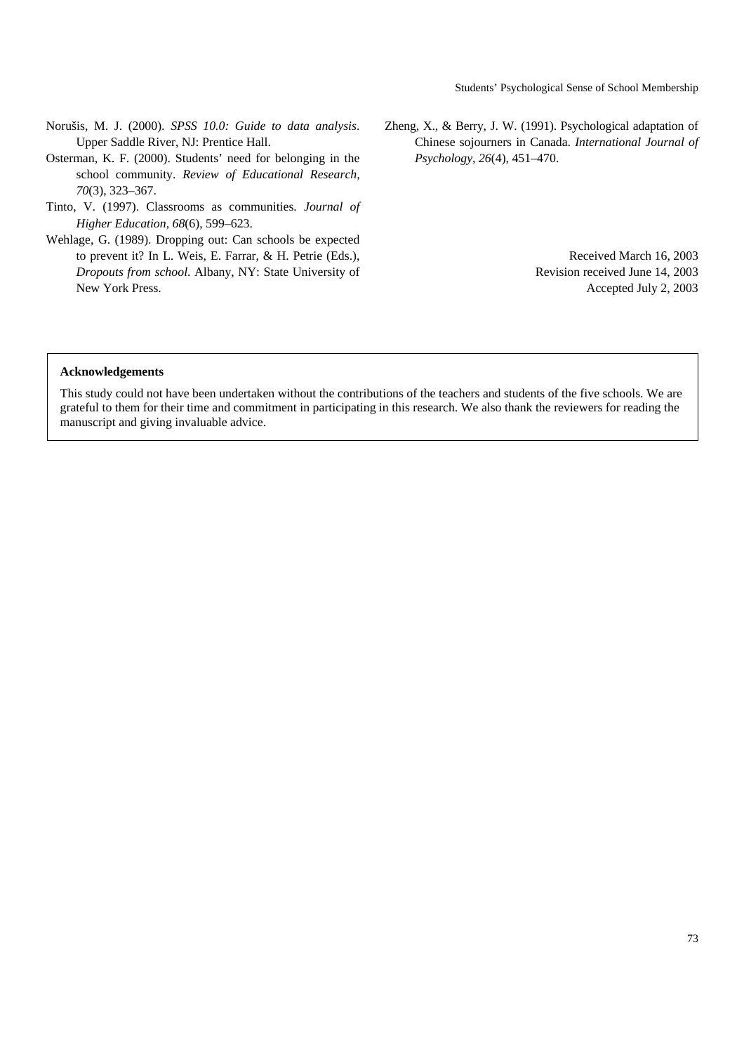Students' Psychological Sense of School Membership

- Norušis, M. J. (2000). *SPSS 10.0: Guide to data analysis*. Upper Saddle River, NJ: Prentice Hall.
- Osterman, K. F. (2000). Students' need for belonging in the school community. *Review of Educational Research, 70*(3), 323–367.
- Tinto, V. (1997). Classrooms as communities. *Journal of Higher Education*, *68*(6), 599–623.
- Wehlage, G. (1989). Dropping out: Can schools be expected to prevent it? In L. Weis, E. Farrar, & H. Petrie (Eds.), *Dropouts from school*. Albany, NY: State University of New York Press.

Zheng, X., & Berry, J. W. (1991). Psychological adaptation of Chinese sojourners in Canada. *International Journal of Psychology, 26*(4), 451–470.

> Received March 16, 2003 Revision received June 14, 2003 Accepted July 2, 2003

#### **Acknowledgements**

This study could not have been undertaken without the contributions of the teachers and students of the five schools. We are grateful to them for their time and commitment in participating in this research. We also thank the reviewers for reading the manuscript and giving invaluable advice.